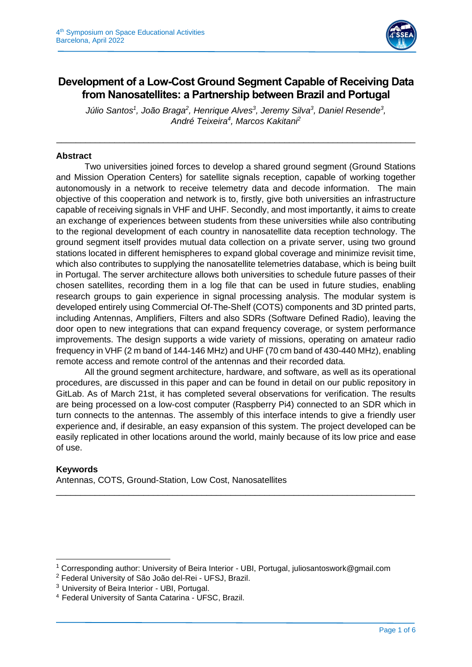

# **Development of a Low-Cost Ground Segment Capable of Receiving Data from Nanosatellites: a Partnership between Brazil and Portugal**

*Júlio Santos<sup>1</sup> , João Braga<sup>2</sup> , Henrique Alves<sup>3</sup> , Jeremy Silva<sup>3</sup> , Daniel Resende<sup>3</sup> , André Teixeira<sup>4</sup> , Marcos Kakitani<sup>2</sup>*

\_\_\_\_\_\_\_\_\_\_\_\_\_\_\_\_\_\_\_\_\_\_\_\_\_\_\_\_\_\_\_\_\_\_\_\_\_\_\_\_\_\_\_\_\_\_\_\_\_\_\_\_\_\_\_\_\_\_\_\_\_\_\_\_\_\_\_\_\_\_\_\_\_\_

## **Abstract**

Two universities joined forces to develop a shared ground segment (Ground Stations and Mission Operation Centers) for satellite signals reception, capable of working together autonomously in a network to receive telemetry data and decode information. The main objective of this cooperation and network is to, firstly, give both universities an infrastructure capable of receiving signals in VHF and UHF. Secondly, and most importantly, it aims to create an exchange of experiences between students from these universities while also contributing to the regional development of each country in nanosatellite data reception technology. The ground segment itself provides mutual data collection on a private server, using two ground stations located in different hemispheres to expand global coverage and minimize revisit time, which also contributes to supplying the nanosatellite telemetries database, which is being built in Portugal. The server architecture allows both universities to schedule future passes of their chosen satellites, recording them in a log file that can be used in future studies, enabling research groups to gain experience in signal processing analysis. The modular system is developed entirely using Commercial Of-The-Shelf (COTS) components and 3D printed parts, including Antennas, Amplifiers, Filters and also SDRs (Software Defined Radio), leaving the door open to new integrations that can expand frequency coverage, or system performance improvements. The design supports a wide variety of missions, operating on amateur radio frequency in VHF (2 m band of 144-146 MHz) and UHF (70 cm band of 430-440 MHz), enabling remote access and remote control of the antennas and their recorded data.

All the ground segment architecture, hardware, and software, as well as its operational procedures, are discussed in this paper and can be found in detail on our public repository in GitLab. As of March 21st, it has completed several observations for verification. The results are being processed on a low-cost computer (Raspberry Pi4) connected to an SDR which in turn connects to the antennas. The assembly of this interface intends to give a friendly user experience and, if desirable, an easy expansion of this system. The project developed can be easily replicated in other locations around the world, mainly because of its low price and ease of use.

\_\_\_\_\_\_\_\_\_\_\_\_\_\_\_\_\_\_\_\_\_\_\_\_\_\_\_\_\_\_\_\_\_\_\_\_\_\_\_\_\_\_\_\_\_\_\_\_\_\_\_\_\_\_\_\_\_\_\_\_\_\_\_\_\_\_\_\_\_\_\_\_\_\_

## **Keywords**

Antennas, COTS, Ground-Station, Low Cost, Nanosatellites

<sup>&</sup>lt;sup>1</sup> Corresponding author: University of Beira Interior - UBI, Portugal, juliosantoswork@gmail.com

<sup>2</sup> Federal University of São João del-Rei - UFSJ, Brazil.

<sup>3</sup> University of Beira Interior - UBI, Portugal.

<sup>4</sup>Federal University of Santa Catarina - UFSC, Brazil.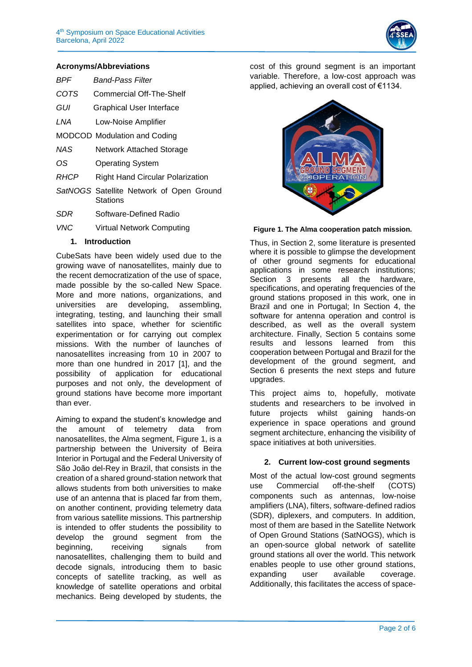

#### **Acronyms/Abbreviations**

| BPF  | <b>Band-Pass Filter</b>                 |
|------|-----------------------------------------|
| COTS | Commercial Off-The-Shelf                |
| GUI  | Graphical User Interface                |
| LNA  | Low-Noise Amplifier                     |
|      | <b>MODCOD Modulation and Coding</b>     |
| NAS  | <b>Network Attached Storage</b>         |
| OS   | <b>Operating System</b>                 |
| RHCP | <b>Right Hand Circular Polarization</b> |
|      | SatNOCS Satellite Network of Open Cro   |

- **Satellite Network of Open Ground Stations**
- *SDR* Software-Defined Radio
- *VNC* Virtual Network Computing

#### **1. Introduction**

CubeSats have been widely used due to the growing wave of nanosatellites, mainly due to the recent democratization of the use of space, made possible by the so-called New Space. More and more nations, organizations, and universities are developing, assembling, integrating, testing, and launching their small satellites into space, whether for scientific experimentation or for carrying out complex missions. With the number of launches of nanosatellites increasing from 10 in 2007 to more than one hundred in 2017 [1], and the possibility of application for educational purposes and not only, the development of ground stations have become more important than ever.

Aiming to expand the student's knowledge and the amount of telemetry data from nanosatellites, the Alma segment, Figure 1, is a partnership between the University of Beira Interior in Portugal and the Federal University of São João del-Rey in Brazil, that consists in the creation of a shared ground-station network that allows students from both universities to make use of an antenna that is placed far from them, on another continent, providing telemetry data from various satellite missions. This partnership is intended to offer students the possibility to develop the ground segment from the beginning, receiving signals from nanosatellites, challenging them to build and decode signals, introducing them to basic concepts of satellite tracking, as well as knowledge of satellite operations and orbital mechanics. Being developed by students, the

cost of this ground segment is an important variable. Therefore, a low-cost approach was applied, achieving an overall cost of €1134.

#### **Figure 1. The Alma cooperation patch mission.**

Thus, in Section 2, some literature is presented where it is possible to glimpse the development of other ground segments for educational applications in some research institutions; Section 3 presents all the hardware, specifications, and operating frequencies of the ground stations proposed in this work, one in Brazil and one in Portugal; In Section 4, the software for antenna operation and control is described, as well as the overall system architecture. Finally, Section 5 contains some results and lessons learned from this cooperation between Portugal and Brazil for the development of the ground segment, and Section 6 presents the next steps and future upgrades.

This project aims to, hopefully, motivate students and researchers to be involved in future projects whilst gaining hands-on experience in space operations and ground segment architecture, enhancing the visibility of space initiatives at both universities.

#### **2. Current low-cost ground segments**

Most of the actual low-cost ground segments use Commercial off-the-shelf (COTS) components such as antennas, low-noise amplifiers (LNA), filters, software-defined radios (SDR), diplexers, and computers. In addition, most of them are based in the Satellite Network of Open Ground Stations (SatNOGS), which is an open-source global network of satellite ground stations all over the world. This network enables people to use other ground stations, expanding user available coverage. Additionally, this facilitates the access of space-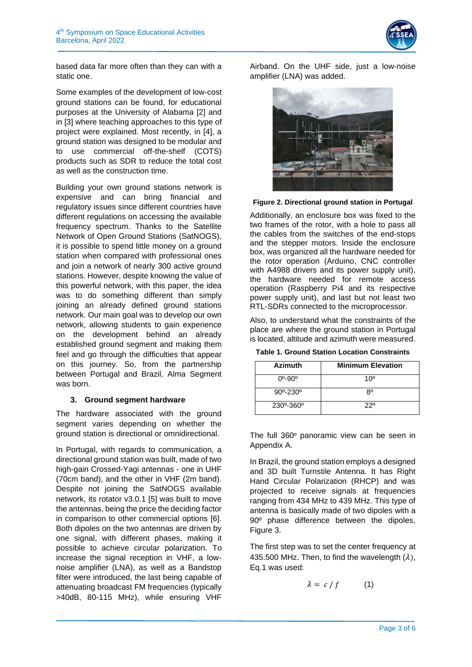

based data far more often than they can with a static one.

Some examples of the development of low-cost ground stations can be found, for educational purposes at the University of Alabama [2] and in [3] where teaching approaches to this type of project were explained. Most recently, in [4], a ground station was designed to be modular and to use commercial off-the-shelf (COTS) products such as SDR to reduce the total cost as well as the construction time.

Building your own ground stations network is expensive and can bring financial and regulatory issues since different countries have different regulations on accessing the available frequency spectrum. Thanks to the Satellite Network of Open Ground Stations (SatNOGS), it is possible to spend little money on a ground station when compared with professional ones and join a network of nearly 300 active ground stations. However, despite knowing the value of this powerful network, with this paper, the idea was to do something different than simply joining an already defined ground stations network. Our main goal was to develop our own network, allowing students to gain experience on the development behind an already established ground segment and making them feel and go through the difficulties that appear on this journey. So, from the partnership between Portugal and Brazil, Alma Segment was born.

#### **3. Ground segment hardware**

The hardware associated with the ground segment varies depending on whether the ground station is directional or omnidirectional.

In Portugal, with regards to communication, a directional ground station was built, made of two high-gain Crossed-Yagi antennas - one in UHF (70cm band), and the other in VHF (2m band). Despite not joining the SatNOGS available network, its rotator v3.0.1 [5] was built to move the antennas, being the price the deciding factor in comparison to other commercial options [6]. Both dipoles on the two antennas are driven by one signal, with different phases, making it possible to achieve circular polarization. To increase the signal reception in VHF, a lownoise amplifier (LNA), as well as a Bandstop filter were introduced, the last being capable of attenuating broadcast FM frequencies (typically >40dB, 80-115 MHz), while ensuring VHF

Airband. On the UHF side, just a low-noise amplifier (LNA) was added.



**Figure 2. Directional ground station in Portugal**

Additionally, an enclosure box was fixed to the two frames of the rotor, with a hole to pass all the cables from the switches of the end-stops and the stepper motors. Inside the enclosure box, was organized all the hardware needed for the rotor operation (Arduino, CNC controller with A4988 drivers and its power supply unit), the hardware needed for remote access operation (Raspberry Pi4 and its respective power supply unit), and last but not least two RTL-SDRs connected to the microprocessor.

Also, to understand what the constraints of the place are where the ground station in Portugal is located, altitude and azimuth were measured.

| <b>Table 1. Ground Station Location Constraints</b> |  |
|-----------------------------------------------------|--|
|-----------------------------------------------------|--|

| <b>Azimuth</b>             | <b>Minimum Elevation</b> |
|----------------------------|--------------------------|
| $0^{\circ} - 90^{\circ}$   | 10 <sup>o</sup>          |
| $90^{\circ} - 230^{\circ}$ | 8°                       |
| 230°-360°                  | 220                      |

The full 360º panoramic view can be seen in Appendix A.

In Brazil, the ground station employs a designed and 3D built Turnstile Antenna. It has Right Hand Circular Polarization (RHCP) and was projected to receive signals at frequencies ranging from 434 MHz to 439 MHz. This type of antenna is basically made of two dipoles with a 90º phase difference between the dipoles, Figure 3.

The first step was to set the center frequency at 435.500 MHz. Then, to find the wavelength  $(\lambda)$ , Eq.1 was used:

$$
\lambda = c/f \tag{1}
$$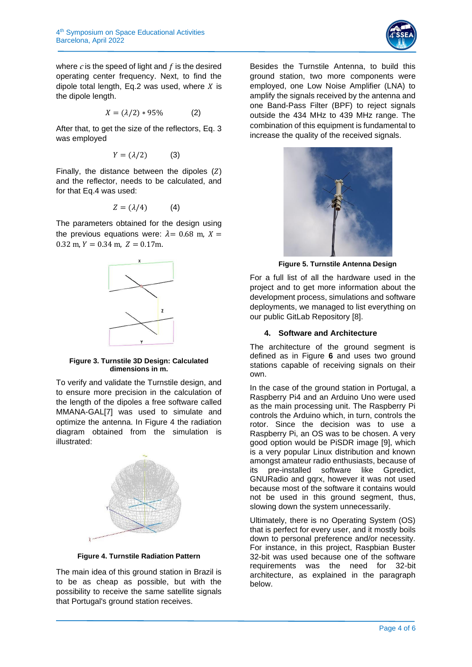

where  $c$  is the speed of light and  $f$  is the desired operating center frequency. Next, to find the dipole total length, Eq.2 was used, where  $X$  is the dipole length.

$$
X = (\lambda/2) * 95\% \tag{2}
$$

After that, to get the size of the reflectors, Eq. 3 was employed

$$
Y = (\lambda/2) \tag{3}
$$

Finally, the distance between the dipoles  $(Z)$ and the reflector, needs to be calculated, and for that Eq.4 was used:

$$
Z = (\lambda/4) \tag{4}
$$

The parameters obtained for the design using the previous equations were:  $\lambda = 0.68$  m,  $X =$  $0.32$  m,  $Y = 0.34$  m,  $Z = 0.17$ m.



#### **Figure 3. Turnstile 3D Design: Calculated dimensions in m.**

To verify and validate the Turnstile design, and to ensure more precision in the calculation of the length of the dipoles a free software called MMANA-GAL[7] was used to simulate and optimize the antenna. In Figure 4 the radiation diagram obtained from the simulation is illustrated:



**Figure 4. Turnstile Radiation Pattern**

The main idea of this ground station in Brazil is to be as cheap as possible, but with the possibility to receive the same satellite signals that Portugal's ground station receives.

Besides the Turnstile Antenna, to build this ground station, two more components were employed, one Low Noise Amplifier (LNA) to amplify the signals received by the antenna and one Band-Pass Filter (BPF) to reject signals outside the 434 MHz to 439 MHz range. The combination of this equipment is fundamental to increase the quality of the received signals.



**Figure 5. Turnstile Antenna Design**

For a full list of all the hardware used in the project and to get more information about the development process, simulations and software deployments, we managed to list everything on our public GitLab Repository [8].

### **4. Software and Architecture**

The architecture of the ground segment is defined as in Figure **6** and uses two ground stations capable of receiving signals on their own.

In the case of the ground station in Portugal, a Raspberry Pi4 and an Arduino Uno were used as the main processing unit. The Raspberry Pi controls the Arduino which, in turn, controls the rotor. Since the decision was to use a Raspberry Pi, an OS was to be chosen. A very good option would be PiSDR image [9], which is a very popular Linux distribution and known amongst amateur radio enthusiasts, because of its pre-installed software like Gpredict, GNURadio and gqrx, however it was not used because most of the software it contains would not be used in this ground segment, thus, slowing down the system unnecessarily.

Ultimately, there is no Operating System (OS) that is perfect for every user, and it mostly boils down to personal preference and/or necessity. For instance, in this project, Raspbian Buster 32-bit was used because one of the software requirements was the need for 32-bit architecture, as explained in the paragraph below.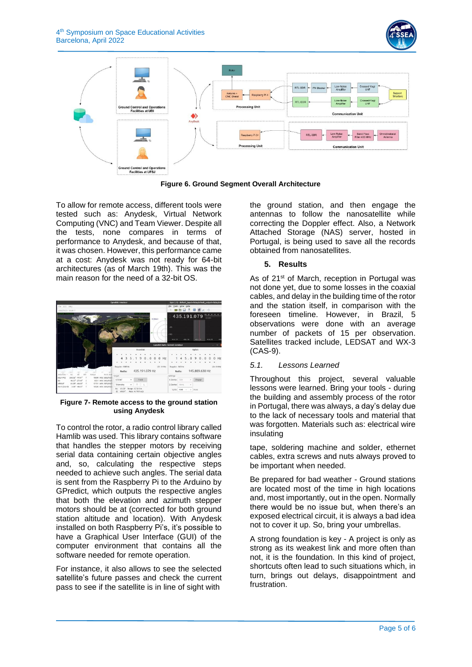



**Figure 6. Ground Segment Overall Architecture**

To allow for remote access, different tools were tested such as: Anydesk, Virtual Network Computing (VNC) and Team Viewer. Despite all the tests, none compares in terms of performance to Anydesk, and because of that, it was chosen. However, this performance came at a cost: Anydesk was not ready for 64-bit architectures (as of March 19th). This was the main reason for the need of a 32-bit OS.



**Figure 7- Remote access to the ground station using Anydesk**

To control the rotor, a radio control library called Hamlib was used. This library contains software that handles the stepper motors by receiving serial data containing certain objective angles and, so, calculating the respective steps needed to achieve such angles. The serial data is sent from the Raspberry Pi to the Arduino by GPredict, which outputs the respective angles that both the elevation and azimuth stepper motors should be at (corrected for both ground station altitude and location). With Anydesk installed on both Raspberry Pi's, it's possible to have a Graphical User Interface (GUI) of the computer environment that contains all the software needed for remote operation.

For instance, it also allows to see the selected satellite's future passes and check the current pass to see if the satellite is in line of sight with

the ground station, and then engage the antennas to follow the nanosatellite while correcting the Doppler effect. Also, a Network Attached Storage (NAS) server, hosted in Portugal, is being used to save all the records obtained from nanosatellites.

## **5. Results**

As of 21<sup>st</sup> of March, reception in Portugal was not done yet, due to some losses in the coaxial cables, and delay in the building time of the rotor and the station itself, in comparison with the foreseen timeline. However, in Brazil, 5 observations were done with an average number of packets of 15 per observation. Satellites tracked include, LEDSAT and WX-3 (CAS-9).

## *5.1. Lessons Learned*

Throughout this project, several valuable lessons were learned. Bring your tools - during the building and assembly process of the rotor in Portugal, there was always, a day's delay due to the lack of necessary tools and material that was forgotten. Materials such as: electrical wire insulating

tape, soldering machine and solder, ethernet cables, extra screws and nuts always proved to be important when needed.

Be prepared for bad weather - Ground stations are located most of the time in high locations and, most importantly, out in the open. Normally there would be no issue but, when there's an exposed electrical circuit, it is always a bad idea not to cover it up. So, bring your umbrellas.

A strong foundation is key - A project is only as strong as its weakest link and more often than not, it is the foundation. In this kind of project, shortcuts often lead to such situations which, in turn, brings out delays, disappointment and frustration.